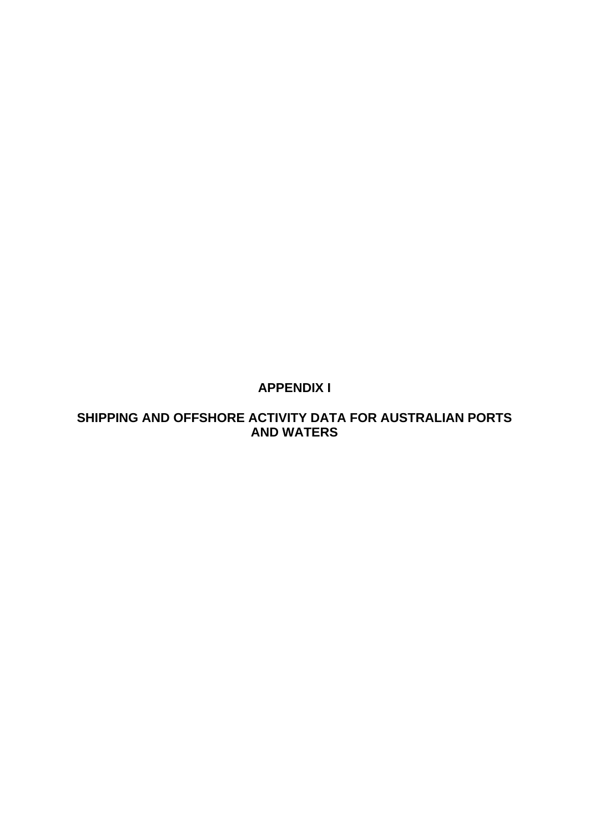# **APPENDIX I**

# **SHIPPING AND OFFSHORE ACTIVITY DATA FOR AUSTRALIAN PORTS AND WATERS**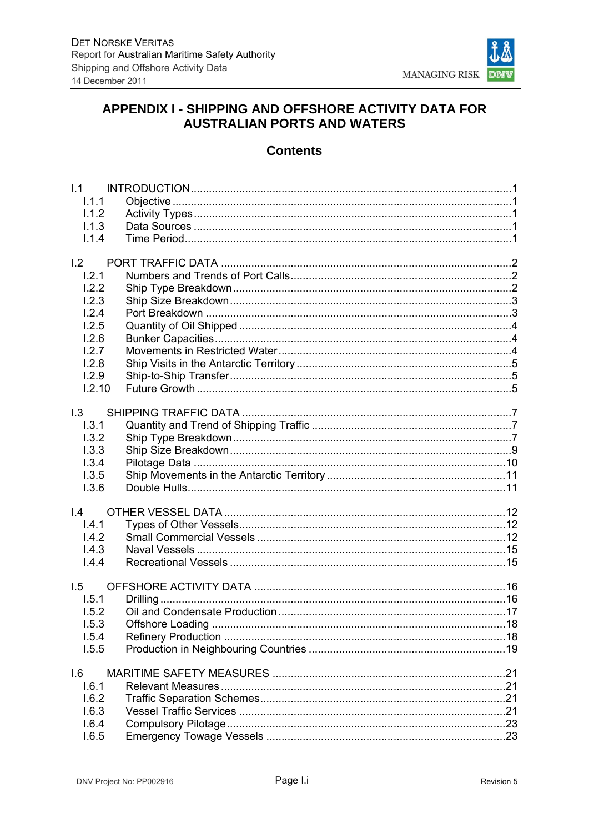

## APPENDIX I - SHIPPING AND OFFSHORE ACTIVITY DATA FOR **AUSTRALIAN PORTS AND WATERS**

## **Contents**

| 1.1             |  |
|-----------------|--|
| 1.1.1           |  |
| 1.1.2           |  |
| 1.1.3           |  |
| 1.1.4           |  |
| 1.2             |  |
| 1.2.1           |  |
| 1.2.2           |  |
| 1.2.3           |  |
| 1.2.4           |  |
|                 |  |
| 1.2.5           |  |
| 1.2.6<br>1.2.7  |  |
|                 |  |
| 1.2.8           |  |
| 1.2.9<br>1.2.10 |  |
|                 |  |
| 1.3             |  |
| 1.3.1           |  |
| 1.3.2           |  |
| 1.3.3           |  |
| 1.3.4           |  |
| 1.3.5           |  |
| 1.3.6           |  |
|                 |  |
| $\mathsf{I}4$   |  |
| 1.4.1           |  |
| 1.4.2           |  |
| 1.4.3           |  |
| 1.4.4           |  |
| 1.5             |  |
| 1.5.1           |  |
| 1.5.2           |  |
| 1.5.3           |  |
| 1.5.4           |  |
| 1.5.5           |  |
|                 |  |
| 1.6             |  |
| 1.6.1           |  |
| 1.6.2           |  |
| 1.6.3           |  |
| 1.6.4           |  |
| 1.6.5           |  |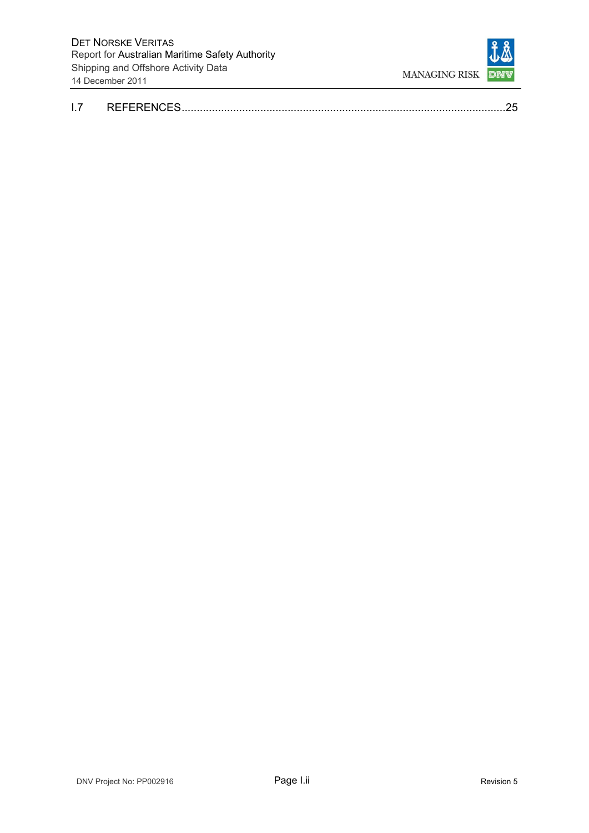

|  | DEEEDENCES |  |
|--|------------|--|
|--|------------|--|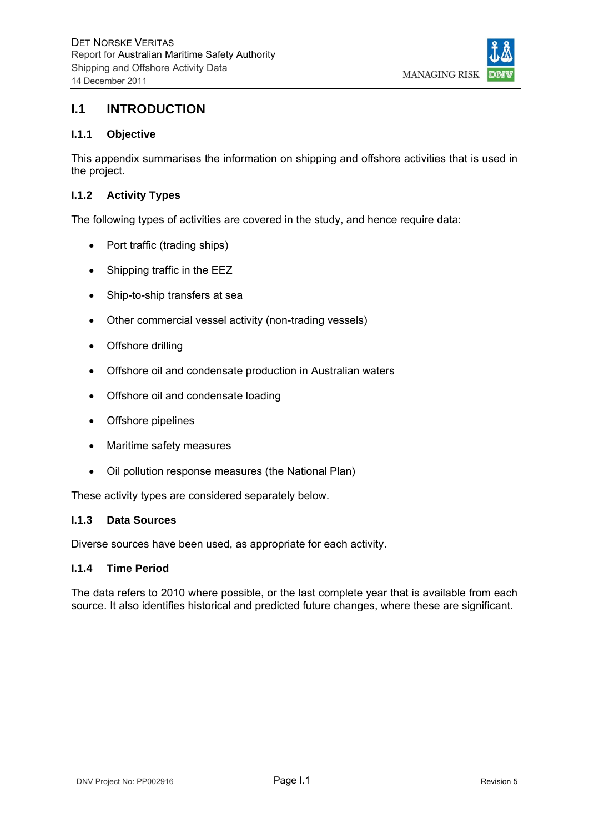

## **I.1 INTRODUCTION**

### **I.1.1 Objective**

This appendix summarises the information on shipping and offshore activities that is used in the project.

### **I.1.2 Activity Types**

The following types of activities are covered in the study, and hence require data:

- Port traffic (trading ships)
- Shipping traffic in the EEZ
- Ship-to-ship transfers at sea
- Other commercial vessel activity (non-trading vessels)
- Offshore drilling
- Offshore oil and condensate production in Australian waters
- Offshore oil and condensate loading
- Offshore pipelines
- Maritime safety measures
- Oil pollution response measures (the National Plan)

These activity types are considered separately below.

#### **I.1.3 Data Sources**

Diverse sources have been used, as appropriate for each activity.

#### **I.1.4 Time Period**

The data refers to 2010 where possible, or the last complete year that is available from each source. It also identifies historical and predicted future changes, where these are significant.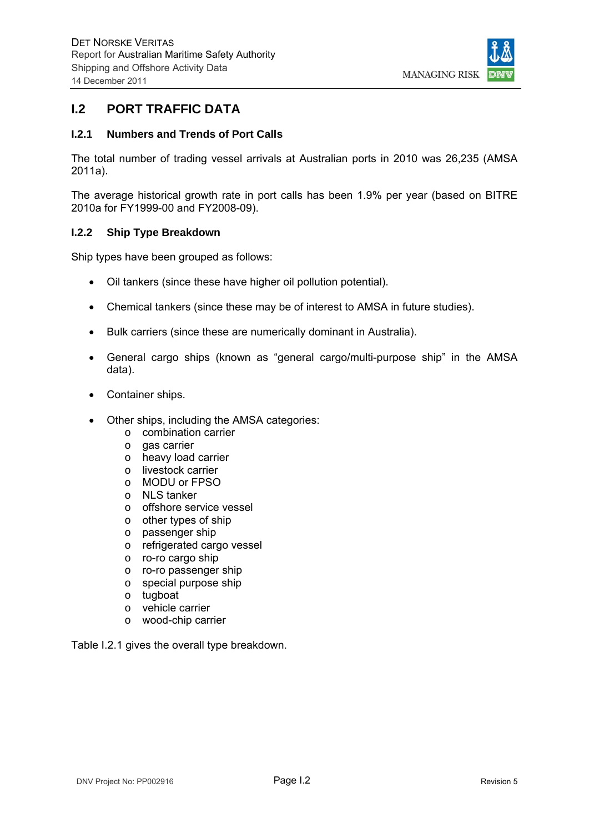

## **I.2 PORT TRAFFIC DATA**

### **I.2.1 Numbers and Trends of Port Calls**

The total number of trading vessel arrivals at Australian ports in 2010 was 26,235 (AMSA 2011a).

The average historical growth rate in port calls has been 1.9% per year (based on BITRE 2010a for FY1999-00 and FY2008-09).

### **I.2.2 Ship Type Breakdown**

Ship types have been grouped as follows:

- Oil tankers (since these have higher oil pollution potential).
- Chemical tankers (since these may be of interest to AMSA in future studies).
- Bulk carriers (since these are numerically dominant in Australia).
- General cargo ships (known as "general cargo/multi-purpose ship" in the AMSA data).
- Container ships.
- Other ships, including the AMSA categories:
	- o combination carrier
	- o gas carrier
	- o heavy load carrier
	- o livestock carrier
	- o MODU or FPSO
	- o NLS tanker
	- o offshore service vessel
	- o other types of ship
	- o passenger ship
	- o refrigerated cargo vessel
	- o ro-ro cargo ship
	- o ro-ro passenger ship
	- o special purpose ship
	- o tugboat
	- o vehicle carrier
	- o wood-chip carrier

Table I.2.1 gives the overall type breakdown.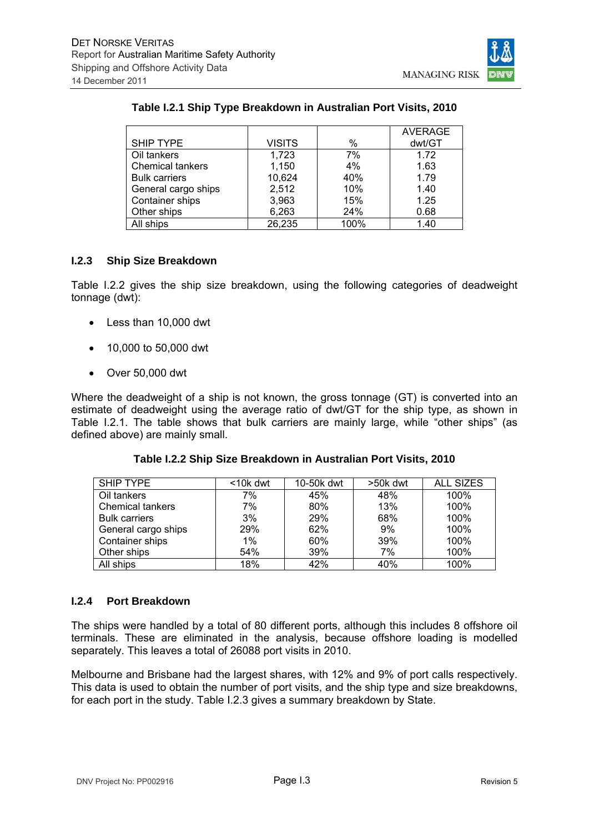

## **Table I.2.1 Ship Type Breakdown in Australian Port Visits, 2010**

|                         |               |      | <b>AVERAGE</b> |
|-------------------------|---------------|------|----------------|
| <b>SHIP TYPE</b>        | <b>VISITS</b> | %    | dwt/GT         |
| Oil tankers             | 1,723         | 7%   | 1.72           |
| <b>Chemical tankers</b> | 1,150         | 4%   | 1.63           |
| <b>Bulk carriers</b>    | 10,624        | 40%  | 1.79           |
| General cargo ships     | 2,512         | 10%  | 1.40           |
| Container ships         | 3,963         | 15%  | 1.25           |
| Other ships             | 6,263         | 24%  | 0.68           |
| All ships               | 26,235        | 100% | 1.40           |

#### **I.2.3 Ship Size Breakdown**

Table I.2.2 gives the ship size breakdown, using the following categories of deadweight tonnage (dwt):

- Less than 10,000 dwt
- 10,000 to 50,000 dwt
- Over 50,000 dwt

Where the deadweight of a ship is not known, the gross tonnage (GT) is converted into an estimate of deadweight using the average ratio of dwt/GT for the ship type, as shown in Table I.2.1. The table shows that bulk carriers are mainly large, while "other ships" (as defined above) are mainly small.

| SHIP TYPE            | $10k$ dwt | 10-50k dwt | >50k dwt | <b>ALL SIZES</b> |
|----------------------|-----------|------------|----------|------------------|
| Oil tankers          | 7%        | 45%        | 48%      | 100%             |
| Chemical tankers     | 7%        | 80%        | 13%      | 100%             |
| <b>Bulk carriers</b> | 3%        | 29%        | 68%      | 100%             |
| General cargo ships  | 29%       | 62%        | 9%       | 100%             |
| Container ships      | 1%        | 60%        | 39%      | 100%             |
| Other ships          | 54%       | 39%        | 7%       | 100%             |
| All ships            | 18%       | 42%        | 40%      | 100%             |

## **Table I.2.2 Ship Size Breakdown in Australian Port Visits, 2010**

### **I.2.4 Port Breakdown**

The ships were handled by a total of 80 different ports, although this includes 8 offshore oil terminals. These are eliminated in the analysis, because offshore loading is modelled separately. This leaves a total of 26088 port visits in 2010.

Melbourne and Brisbane had the largest shares, with 12% and 9% of port calls respectively. This data is used to obtain the number of port visits, and the ship type and size breakdowns, for each port in the study. Table I.2.3 gives a summary breakdown by State.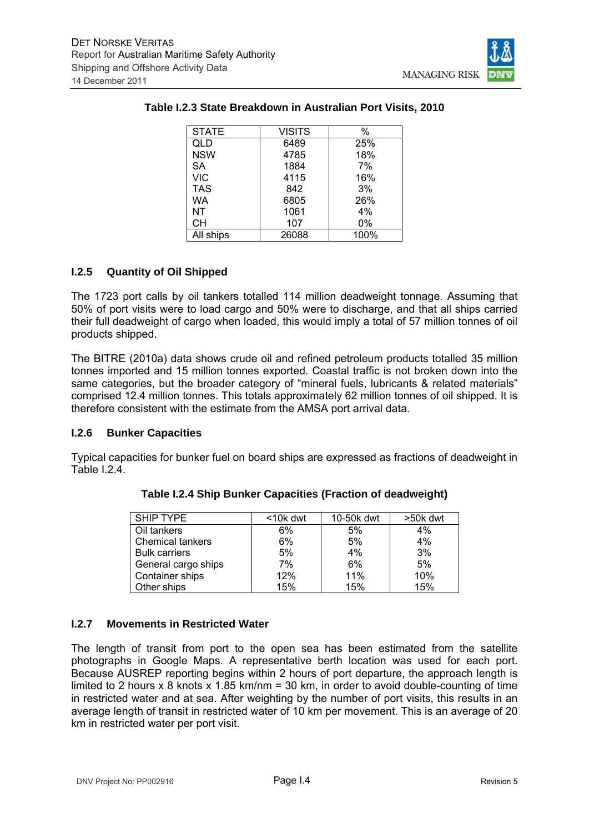

| <b>STATE</b> | <b>VISITS</b> | %    |
|--------------|---------------|------|
| QLD          | 6489          | 25%  |
| <b>NSW</b>   | 4785          | 18%  |
| <b>SA</b>    | 1884          | 7%   |
| <b>VIC</b>   | 4115          | 16%  |
| <b>TAS</b>   | 842           | 3%   |
| WA           | 6805          | 26%  |
| <b>NT</b>    | 1061          | 4%   |
| CН           | 107           | 0%   |
| All ships    | 26088         | 100% |

### **Table I.2.3 State Breakdown in Australian Port Visits, 2010**

### **I.2.5 Quantity of Oil Shipped**

The 1723 port calls by oil tankers totalled 114 million deadweight tonnage. Assuming that 50% of port visits were to load cargo and 50% were to discharge, and that all ships carried their full deadweight of cargo when loaded, this would imply a total of 57 million tonnes of oil products shipped.

The BITRE (2010a) data shows crude oil and refined petroleum products totalled 35 million tonnes imported and 15 million tonnes exported. Coastal traffic is not broken down into the same categories, but the broader category of "mineral fuels, lubricants & related materials" comprised 12.4 million tonnes. This totals approximately 62 million tonnes of oil shipped. It is therefore consistent with the estimate from the AMSA port arrival data.

#### **I.2.6 Bunker Capacities**

Typical capacities for bunker fuel on board ships are expressed as fractions of deadweight in Table I.2.4.

| SHIP TYPE               | $<$ 10 $k$ dwt | 10-50k dwt | >50k dwt |
|-------------------------|----------------|------------|----------|
| Oil tankers             | 6%             | 5%         | $4\%$    |
| <b>Chemical tankers</b> | 6%             | 5%         | 4%       |
| <b>Bulk carriers</b>    | 5%             | 4%         | 3%       |
| General cargo ships     | 7%             | 6%         | 5%       |
| Container ships         | 12%            | 11%        | 10%      |
| Other ships             | 15%            | 15%        | 15%      |

## **Table I.2.4 Ship Bunker Capacities (Fraction of deadweight)**

## **I.2.7 Movements in Restricted Water**

The length of transit from port to the open sea has been estimated from the satellite photographs in Google Maps. A representative berth location was used for each port. Because AUSREP reporting begins within 2 hours of port departure, the approach length is limited to 2 hours  $\times$  8 knots  $\times$  1.85 km/nm = 30 km, in order to avoid double-counting of time in restricted water and at sea. After weighting by the number of port visits, this results in an average length of transit in restricted water of 10 km per movement. This is an average of 20 km in restricted water per port visit.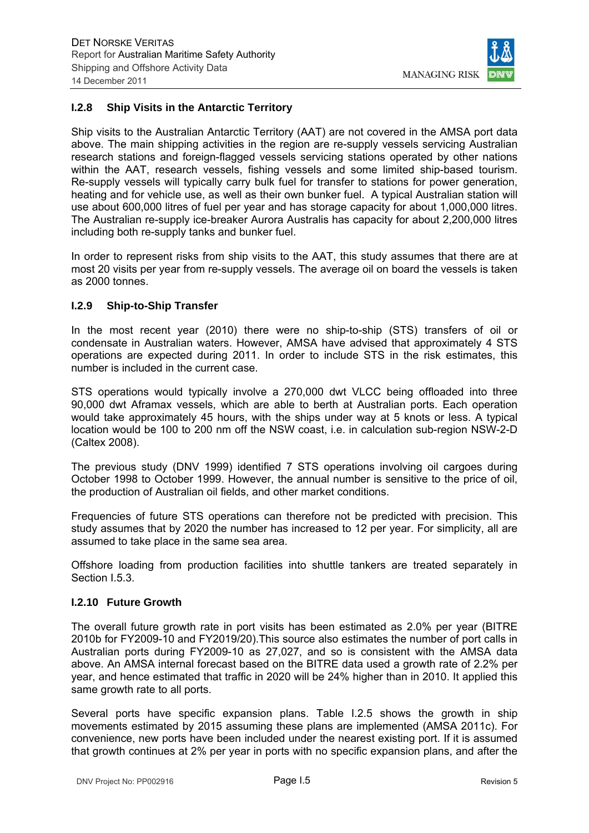

### **I.2.8 Ship Visits in the Antarctic Territory**

Ship visits to the Australian Antarctic Territory (AAT) are not covered in the AMSA port data above. The main shipping activities in the region are re-supply vessels servicing Australian research stations and foreign-flagged vessels servicing stations operated by other nations within the AAT, research vessels, fishing vessels and some limited ship-based tourism. Re-supply vessels will typically carry bulk fuel for transfer to stations for power generation, heating and for vehicle use, as well as their own bunker fuel. A typical Australian station will use about 600,000 litres of fuel per year and has storage capacity for about 1,000,000 litres. The Australian re-supply ice-breaker Aurora Australis has capacity for about 2,200,000 litres including both re-supply tanks and bunker fuel.

In order to represent risks from ship visits to the AAT, this study assumes that there are at most 20 visits per year from re-supply vessels. The average oil on board the vessels is taken as 2000 tonnes.

#### **I.2.9 Ship-to-Ship Transfer**

In the most recent year (2010) there were no ship-to-ship (STS) transfers of oil or condensate in Australian waters. However, AMSA have advised that approximately 4 STS operations are expected during 2011. In order to include STS in the risk estimates, this number is included in the current case.

STS operations would typically involve a 270,000 dwt VLCC being offloaded into three 90,000 dwt Aframax vessels, which are able to berth at Australian ports. Each operation would take approximately 45 hours, with the ships under way at 5 knots or less. A typical location would be 100 to 200 nm off the NSW coast, i.e. in calculation sub-region NSW-2-D (Caltex 2008).

The previous study (DNV 1999) identified 7 STS operations involving oil cargoes during October 1998 to October 1999. However, the annual number is sensitive to the price of oil, the production of Australian oil fields, and other market conditions.

Frequencies of future STS operations can therefore not be predicted with precision. This study assumes that by 2020 the number has increased to 12 per year. For simplicity, all are assumed to take place in the same sea area.

Offshore loading from production facilities into shuttle tankers are treated separately in Section I.5.3.

#### **I.2.10 Future Growth**

The overall future growth rate in port visits has been estimated as 2.0% per year (BITRE 2010b for FY2009-10 and FY2019/20).This source also estimates the number of port calls in Australian ports during FY2009-10 as 27,027, and so is consistent with the AMSA data above. An AMSA internal forecast based on the BITRE data used a growth rate of 2.2% per year, and hence estimated that traffic in 2020 will be 24% higher than in 2010. It applied this same growth rate to all ports.

Several ports have specific expansion plans. Table I.2.5 shows the growth in ship movements estimated by 2015 assuming these plans are implemented (AMSA 2011c). For convenience, new ports have been included under the nearest existing port. If it is assumed that growth continues at 2% per year in ports with no specific expansion plans, and after the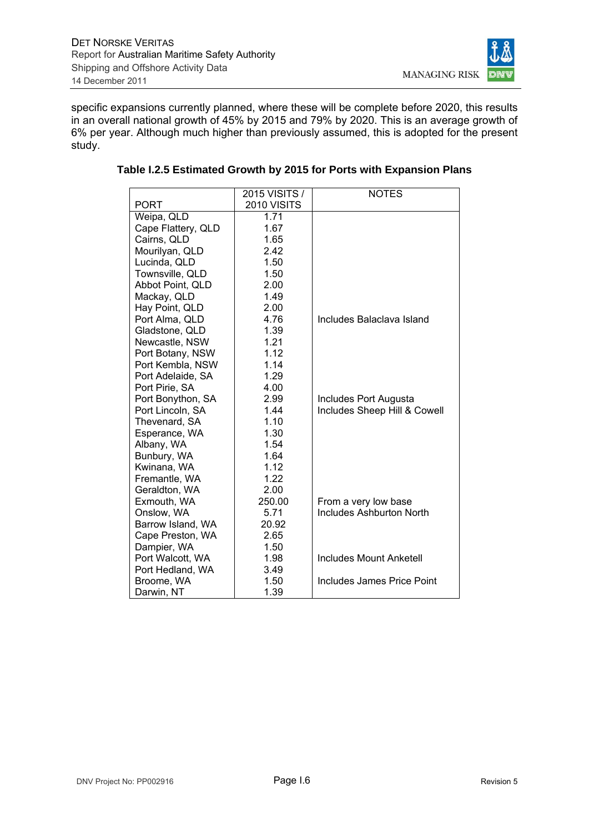

specific expansions currently planned, where these will be complete before 2020, this results in an overall national growth of 45% by 2015 and 79% by 2020. This is an average growth of 6% per year. Although much higher than previously assumed, this is adopted for the present study.

|                    | 2015 VISITS / | <b>NOTES</b>                    |
|--------------------|---------------|---------------------------------|
| PORT               | 2010 VISITS   |                                 |
| Weipa, QLD         | 1.71          |                                 |
| Cape Flattery, QLD | 1.67          |                                 |
| Cairns, QLD        | 1.65          |                                 |
| Mourilyan, QLD     | 2.42          |                                 |
| Lucinda, QLD       | 1.50          |                                 |
| Townsville, QLD    | 1.50          |                                 |
| Abbot Point, QLD   | 2.00          |                                 |
| Mackay, QLD        | 1.49          |                                 |
| Hay Point, QLD     | 2.00          |                                 |
| Port Alma, QLD     | 4.76          | Includes Balaclava Island       |
| Gladstone, QLD     | 1.39          |                                 |
| Newcastle, NSW     | 1.21          |                                 |
| Port Botany, NSW   | 1.12          |                                 |
| Port Kembla, NSW   | 1.14          |                                 |
| Port Adelaide, SA  | 1.29          |                                 |
| Port Pirie, SA     | 4.00          |                                 |
| Port Bonython, SA  | 2.99          | Includes Port Augusta           |
| Port Lincoln, SA   | 1.44          | Includes Sheep Hill & Cowell    |
| Thevenard, SA      | 1.10          |                                 |
| Esperance, WA      | 1.30          |                                 |
| Albany, WA         | 1.54          |                                 |
| Bunbury, WA        | 1.64          |                                 |
| Kwinana, WA        | 1.12          |                                 |
| Fremantle, WA      | 1.22          |                                 |
| Geraldton, WA      | 2.00          |                                 |
| Exmouth, WA        | 250.00        | From a very low base            |
| Onslow, WA         | 5.71          | <b>Includes Ashburton North</b> |
| Barrow Island, WA  | 20.92         |                                 |
| Cape Preston, WA   | 2.65          |                                 |
| Dampier, WA        | 1.50          |                                 |
| Port Walcott, WA   | 1.98          | <b>Includes Mount Anketell</b>  |
| Port Hedland, WA   | 3.49          |                                 |
| Broome, WA         | 1.50          | Includes James Price Point      |
| Darwin, NT         | 1.39          |                                 |

#### **Table I.2.5 Estimated Growth by 2015 for Ports with Expansion Plans**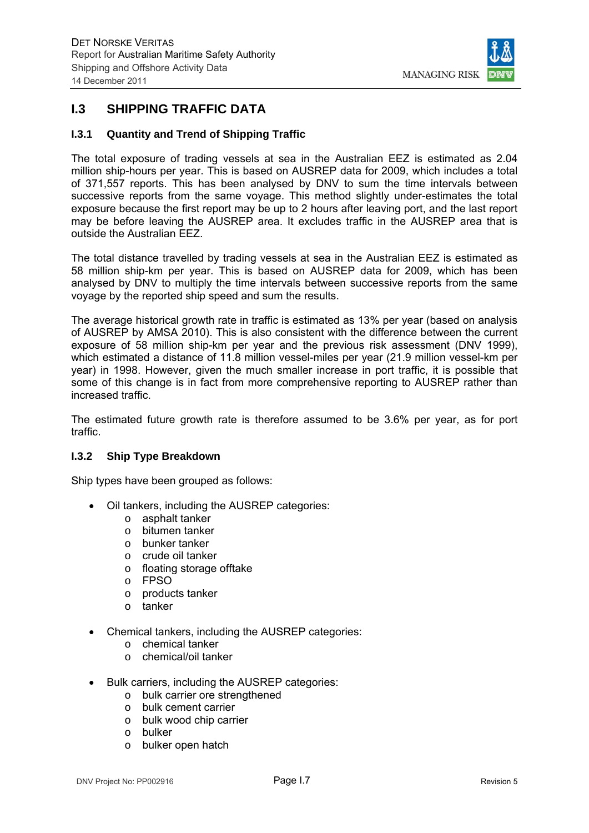

## **I.3 SHIPPING TRAFFIC DATA**

## **I.3.1 Quantity and Trend of Shipping Traffic**

The total exposure of trading vessels at sea in the Australian EEZ is estimated as 2.04 million ship-hours per year. This is based on AUSREP data for 2009, which includes a total of 371,557 reports. This has been analysed by DNV to sum the time intervals between successive reports from the same voyage. This method slightly under-estimates the total exposure because the first report may be up to 2 hours after leaving port, and the last report may be before leaving the AUSREP area. It excludes traffic in the AUSREP area that is outside the Australian EEZ.

The total distance travelled by trading vessels at sea in the Australian EEZ is estimated as 58 million ship-km per year. This is based on AUSREP data for 2009, which has been analysed by DNV to multiply the time intervals between successive reports from the same voyage by the reported ship speed and sum the results.

The average historical growth rate in traffic is estimated as 13% per year (based on analysis of AUSREP by AMSA 2010). This is also consistent with the difference between the current exposure of 58 million ship-km per year and the previous risk assessment (DNV 1999), which estimated a distance of 11.8 million vessel-miles per year (21.9 million vessel-km per year) in 1998. However, given the much smaller increase in port traffic, it is possible that some of this change is in fact from more comprehensive reporting to AUSREP rather than increased traffic.

The estimated future growth rate is therefore assumed to be 3.6% per year, as for port traffic.

#### **I.3.2 Ship Type Breakdown**

Ship types have been grouped as follows:

- Oil tankers, including the AUSREP categories:
	- o asphalt tanker
	- o bitumen tanker
	- o bunker tanker
	- o crude oil tanker
	- o floating storage offtake
	- o FPSO
	- o products tanker
	- o tanker
- Chemical tankers, including the AUSREP categories:
	- o chemical tanker
	- o chemical/oil tanker
- Bulk carriers, including the AUSREP categories:
	- o bulk carrier ore strengthened
	- o bulk cement carrier
	- o bulk wood chip carrier
	- o bulker
	- o bulker open hatch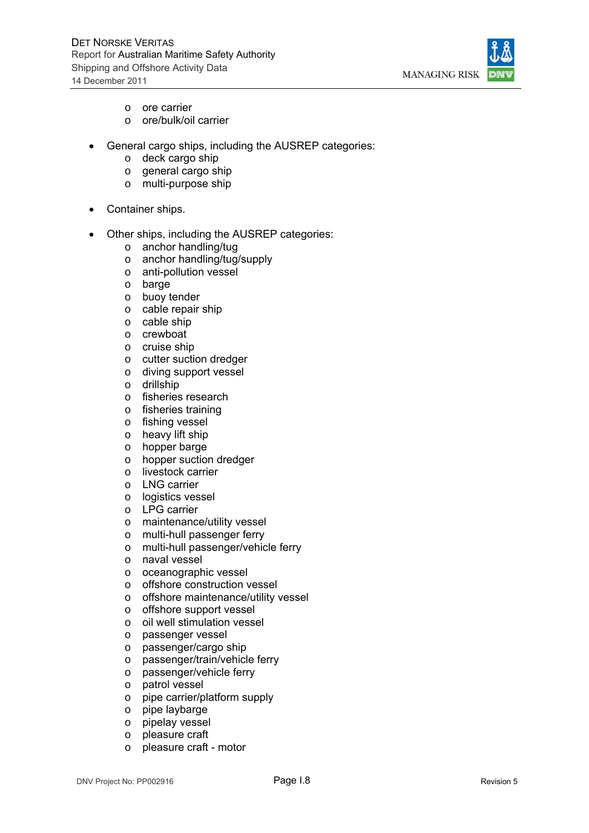

- o ore carrier
- o ore/bulk/oil carrier
- General cargo ships, including the AUSREP categories:
	- o deck cargo ship
	- o general cargo ship
	- o multi-purpose ship
- Container ships.
- Other ships, including the AUSREP categories:
	- o anchor handling/tug
	- o anchor handling/tug/supply
	- o anti-pollution vessel
	- o barge
	- o buoy tender
	- o cable repair ship
	- o cable ship
	- o crewboat
	- o cruise ship
	- o cutter suction dredger
	- o diving support vessel
	- o drillship
	- o fisheries research
	- o fisheries training
	- o fishing vessel
	- o heavy lift ship
	- o hopper barge
	- o hopper suction dredger
	- o livestock carrier
	- o LNG carrier
	- o logistics vessel
	- o LPG carrier
	- o maintenance/utility vessel
	- o multi-hull passenger ferry
	- o multi-hull passenger/vehicle ferry
	- o naval vessel
	- o oceanographic vessel
	- o offshore construction vessel
	- o offshore maintenance/utility vessel
	- o offshore support vessel
	- o oil well stimulation vessel
	- o passenger vessel
	- o passenger/cargo ship
	- o passenger/train/vehicle ferry
	- o passenger/vehicle ferry
	- o patrol vessel
	- o pipe carrier/platform supply
	- o pipe laybarge
	- o pipelay vessel
	- o pleasure craft
	- o pleasure craft motor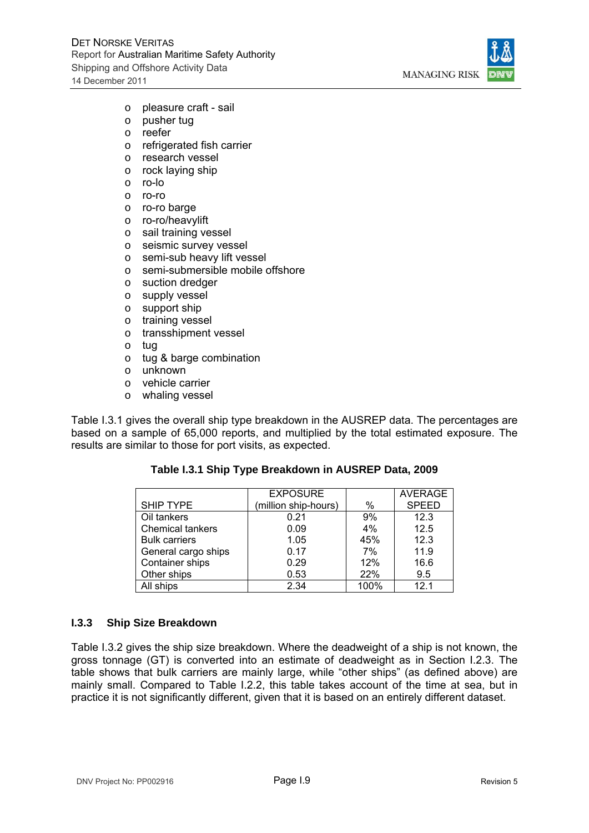

- o pleasure craft sail
- o pusher tug
- o reefer
- o refrigerated fish carrier
- o research vessel
- o rock laying ship
- o ro-lo
- o ro-ro
- o ro-ro barge
- o ro-ro/heavylift
- o sail training vessel
- o seismic survey vessel
- o semi-sub heavy lift vessel
- o semi-submersible mobile offshore
- o suction dredger
- o supply vessel
- o support ship
- o training vessel
- o transshipment vessel
- o tug
- o tug & barge combination
- o unknown
- o vehicle carrier
- o whaling vessel

Table I.3.1 gives the overall ship type breakdown in the AUSREP data. The percentages are based on a sample of 65,000 reports, and multiplied by the total estimated exposure. The results are similar to those for port visits, as expected.

#### **Table I.3.1 Ship Type Breakdown in AUSREP Data, 2009**

|                         | <b>EXPOSURE</b>      |      | <b>AVERAGE</b> |
|-------------------------|----------------------|------|----------------|
| <b>SHIP TYPE</b>        | (million ship-hours) | %    | <b>SPEED</b>   |
| Oil tankers             | 0.21                 | 9%   | 12.3           |
| <b>Chemical tankers</b> | 0.09                 | 4%   | 12.5           |
| <b>Bulk carriers</b>    | 1.05                 | 45%  | 12.3           |
| General cargo ships     | 0.17                 | 7%   | 11.9           |
| Container ships         | 0.29                 | 12%  | 16.6           |
| Other ships             | 0.53                 | 22%  | 9.5            |
| All ships               | 2.34                 | 100% | 121            |

## **I.3.3 Ship Size Breakdown**

Table I.3.2 gives the ship size breakdown. Where the deadweight of a ship is not known, the gross tonnage (GT) is converted into an estimate of deadweight as in Section I.2.3. The table shows that bulk carriers are mainly large, while "other ships" (as defined above) are mainly small. Compared to Table I.2.2, this table takes account of the time at sea, but in practice it is not significantly different, given that it is based on an entirely different dataset.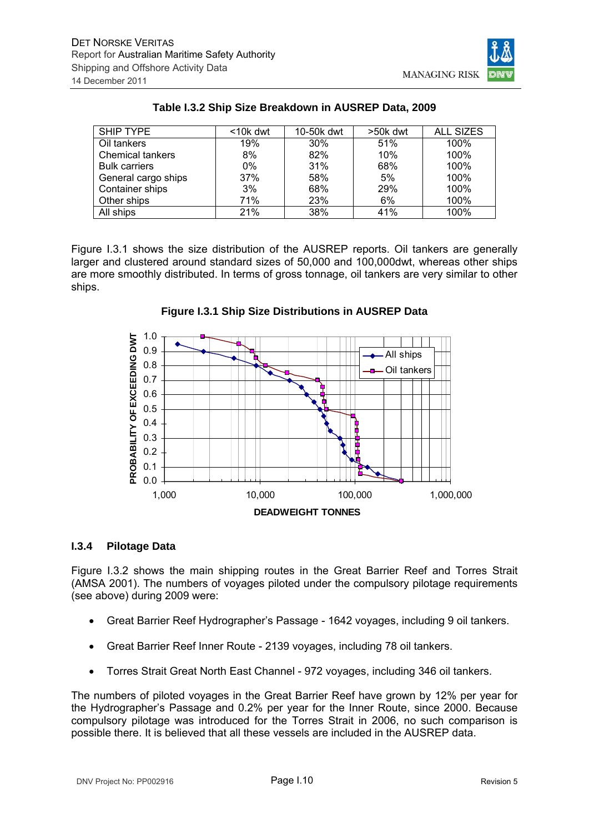

| <b>SHIP TYPE</b>        | $10k$ dwt | 10-50k dwt | >50k dwt | <b>ALL SIZES</b> |
|-------------------------|-----------|------------|----------|------------------|
| Oil tankers             | 19%       | 30%        | 51%      | 100%             |
| <b>Chemical tankers</b> | 8%        | 82%        | 10%      | 100%             |
| <b>Bulk carriers</b>    | $0\%$     | 31%        | 68%      | 100%             |
| General cargo ships     | 37%       | 58%        | 5%       | 100%             |
| Container ships         | 3%        | 68%        | 29%      | 100%             |
| Other ships             | 71%       | 23%        | 6%       | 100%             |
| All ships               | 21%       | 38%        | 41%      | 100%             |

## **Table I.3.2 Ship Size Breakdown in AUSREP Data, 2009**

Figure I.3.1 shows the size distribution of the AUSREP reports. Oil tankers are generally larger and clustered around standard sizes of 50,000 and 100,000dwt, whereas other ships are more smoothly distributed. In terms of gross tonnage, oil tankers are very similar to other ships.



**Figure I.3.1 Ship Size Distributions in AUSREP Data** 

#### **I.3.4 Pilotage Data**

Figure I.3.2 shows the main shipping routes in the Great Barrier Reef and Torres Strait (AMSA 2001). The numbers of voyages piloted under the compulsory pilotage requirements (see above) during 2009 were:

- Great Barrier Reef Hydrographer's Passage 1642 voyages, including 9 oil tankers.
- Great Barrier Reef Inner Route 2139 voyages, including 78 oil tankers.
- Torres Strait Great North East Channel 972 voyages, including 346 oil tankers.

The numbers of piloted voyages in the Great Barrier Reef have grown by 12% per year for the Hydrographer's Passage and 0.2% per year for the Inner Route, since 2000. Because compulsory pilotage was introduced for the Torres Strait in 2006, no such comparison is possible there. It is believed that all these vessels are included in the AUSREP data.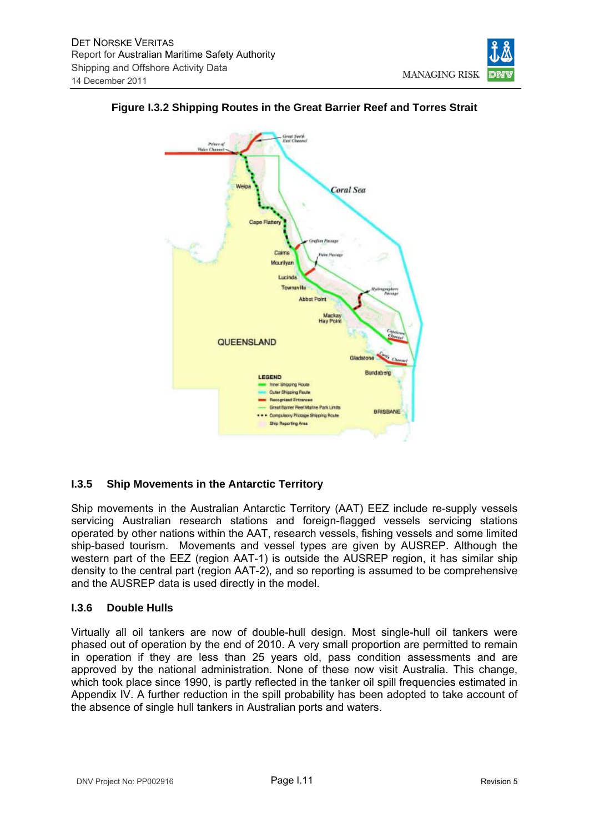

## **Figure I.3.2 Shipping Routes in the Great Barrier Reef and Torres Strait**

**Abbot Point** 

**QUEENSLAND** 

LEGEND

Inner Shipping Route **Outer Shipping Route Recognized Entrances** Great Barrier Reef Marine Park Limits

. . Compulsory Pilotage Shipping Route **Ship Reporting Area** 

Mackay<br>Hay Point

Bundaberg

BRISBANE

#### **I.3.5 Ship Movements in the Antarctic Territory**

Ship movements in the Australian Antarctic Territory (AAT) EEZ include re-supply vessels servicing Australian research stations and foreign-flagged vessels servicing stations operated by other nations within the AAT, research vessels, fishing vessels and some limited ship-based tourism. Movements and vessel types are given by AUSREP. Although the western part of the EEZ (region AAT-1) is outside the AUSREP region, it has similar ship density to the central part (region AAT-2), and so reporting is assumed to be comprehensive and the AUSREP data is used directly in the model.

#### **I.3.6 Double Hulls**

Virtually all oil tankers are now of double-hull design. Most single-hull oil tankers were phased out of operation by the end of 2010. A very small proportion are permitted to remain in operation if they are less than 25 years old, pass condition assessments and are approved by the national administration. None of these now visit Australia. This change, which took place since 1990, is partly reflected in the tanker oil spill frequencies estimated in Appendix IV. A further reduction in the spill probability has been adopted to take account of the absence of single hull tankers in Australian ports and waters.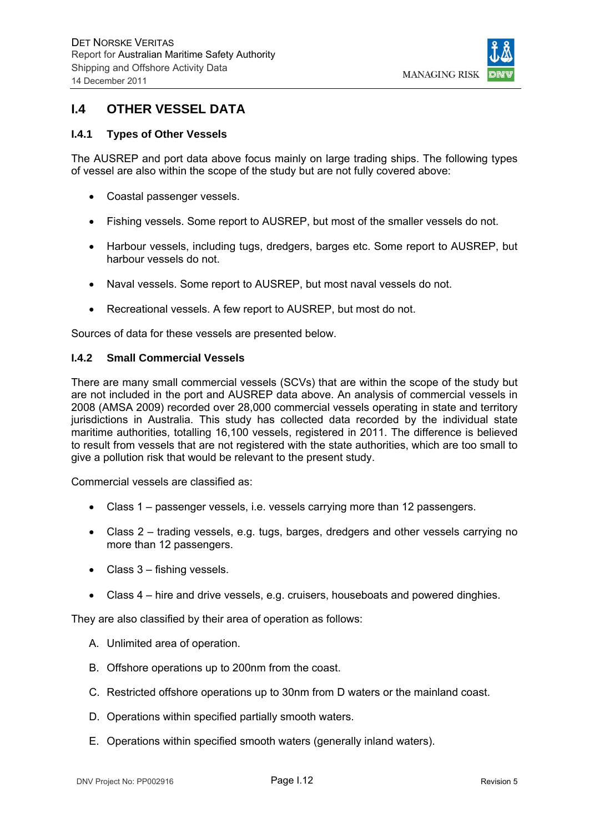

## **I.4 OTHER VESSEL DATA**

### **I.4.1 Types of Other Vessels**

The AUSREP and port data above focus mainly on large trading ships. The following types of vessel are also within the scope of the study but are not fully covered above:

- Coastal passenger vessels.
- Fishing vessels. Some report to AUSREP, but most of the smaller vessels do not.
- Harbour vessels, including tugs, dredgers, barges etc. Some report to AUSREP, but harbour vessels do not.
- Naval vessels. Some report to AUSREP, but most naval vessels do not.
- Recreational vessels. A few report to AUSREP, but most do not.

Sources of data for these vessels are presented below.

#### **I.4.2 Small Commercial Vessels**

There are many small commercial vessels (SCVs) that are within the scope of the study but are not included in the port and AUSREP data above. An analysis of commercial vessels in 2008 (AMSA 2009) recorded over 28,000 commercial vessels operating in state and territory jurisdictions in Australia. This study has collected data recorded by the individual state maritime authorities, totalling 16,100 vessels, registered in 2011. The difference is believed to result from vessels that are not registered with the state authorities, which are too small to give a pollution risk that would be relevant to the present study.

Commercial vessels are classified as:

- Class 1 passenger vessels, i.e. vessels carrying more than 12 passengers.
- Class 2 trading vessels, e.g. tugs, barges, dredgers and other vessels carrying no more than 12 passengers.
- Class 3 fishing vessels.
- Class 4 hire and drive vessels, e.g. cruisers, houseboats and powered dinghies.

They are also classified by their area of operation as follows:

- A. Unlimited area of operation.
- B. Offshore operations up to 200nm from the coast.
- C. Restricted offshore operations up to 30nm from D waters or the mainland coast.
- D. Operations within specified partially smooth waters.
- E. Operations within specified smooth waters (generally inland waters).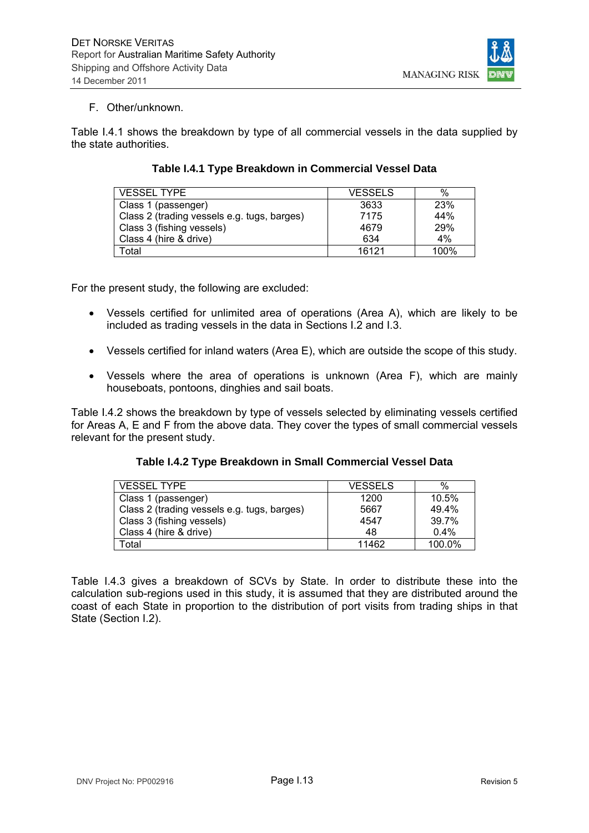

### F. Other/unknown.

Table I.4.1 shows the breakdown by type of all commercial vessels in the data supplied by the state authorities.

| <b>VESSEL TYPE</b>                          | <b>VESSELS</b> | $\%$ |
|---------------------------------------------|----------------|------|
| Class 1 (passenger)                         | 3633           | 23%  |
| Class 2 (trading vessels e.g. tugs, barges) | 7175           | 44%  |
| Class 3 (fishing vessels)                   | 4679           | 29%  |
| Class 4 (hire & drive)                      | 634            | 4%   |
| Total                                       | 16121          | 100% |

## **Table I.4.1 Type Breakdown in Commercial Vessel Data**

For the present study, the following are excluded:

- Vessels certified for unlimited area of operations (Area A), which are likely to be included as trading vessels in the data in Sections I.2 and I.3.
- Vessels certified for inland waters (Area E), which are outside the scope of this study.
- Vessels where the area of operations is unknown (Area F), which are mainly houseboats, pontoons, dinghies and sail boats.

Table I.4.2 shows the breakdown by type of vessels selected by eliminating vessels certified for Areas A, E and F from the above data. They cover the types of small commercial vessels relevant for the present study.

|  |  |  | Table I.4.2 Type Breakdown in Small Commercial Vessel Data |
|--|--|--|------------------------------------------------------------|
|--|--|--|------------------------------------------------------------|

| <b>VESSEL TYPE</b>                          | <b>VESSELS</b> | %       |
|---------------------------------------------|----------------|---------|
| Class 1 (passenger)                         | 1200           | 10.5%   |
| Class 2 (trading vessels e.g. tugs, barges) | 5667           | 49.4%   |
| Class 3 (fishing vessels)                   | 4547           | 39.7%   |
| Class 4 (hire & drive)                      | 48             | $0.4\%$ |
| Total                                       | 11462          | 100.0%  |

Table I.4.3 gives a breakdown of SCVs by State. In order to distribute these into the calculation sub-regions used in this study, it is assumed that they are distributed around the coast of each State in proportion to the distribution of port visits from trading ships in that State (Section I.2).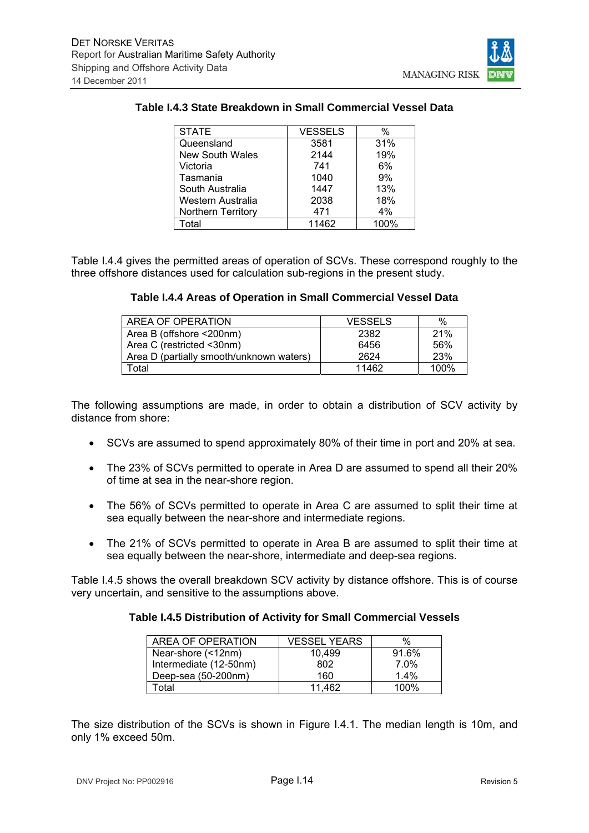

## **Table I.4.3 State Breakdown in Small Commercial Vessel Data**

| <b>STATE</b>           | <b>VESSELS</b> | %    |
|------------------------|----------------|------|
| Queensland             | 3581           | 31%  |
| <b>New South Wales</b> | 2144           | 19%  |
| Victoria               | 741            | 6%   |
| Tasmania               | 1040           | 9%   |
| South Australia        | 1447           | 13%  |
| Western Australia      | 2038           | 18%  |
| Northern Territory     | 471            | 4%   |
| Total                  | 11462          | 100% |

Table I.4.4 gives the permitted areas of operation of SCVs. These correspond roughly to the three offshore distances used for calculation sub-regions in the present study.

#### **Table I.4.4 Areas of Operation in Small Commercial Vessel Data**

| AREA OF OPERATION                        | <b>VESSELS</b> | %    |
|------------------------------------------|----------------|------|
| Area B (offshore <200nm)                 | 2382           | 21%  |
| Area C (restricted <30nm)                | 6456           | 56%  |
| Area D (partially smooth/unknown waters) | 2624           | 23%  |
| Total                                    | 11462          | 100% |

The following assumptions are made, in order to obtain a distribution of SCV activity by distance from shore:

- SCVs are assumed to spend approximately 80% of their time in port and 20% at sea.
- The 23% of SCVs permitted to operate in Area D are assumed to spend all their 20% of time at sea in the near-shore region.
- The 56% of SCVs permitted to operate in Area C are assumed to split their time at sea equally between the near-shore and intermediate regions.
- The 21% of SCVs permitted to operate in Area B are assumed to split their time at sea equally between the near-shore, intermediate and deep-sea regions.

Table I.4.5 shows the overall breakdown SCV activity by distance offshore. This is of course very uncertain, and sensitive to the assumptions above.

#### **Table I.4.5 Distribution of Activity for Small Commercial Vessels**

| AREA OF OPERATION      | <b>VESSEL YEARS</b> | %       |
|------------------------|---------------------|---------|
| Near-shore (<12nm)     | 10.499              | 91.6%   |
| Intermediate (12-50nm) | 802                 | $7.0\%$ |
| Deep-sea (50-200nm)    | 160                 | 1.4%    |
| Гоtal                  | 11.462              | 100%    |

The size distribution of the SCVs is shown in Figure I.4.1. The median length is 10m, and only 1% exceed 50m.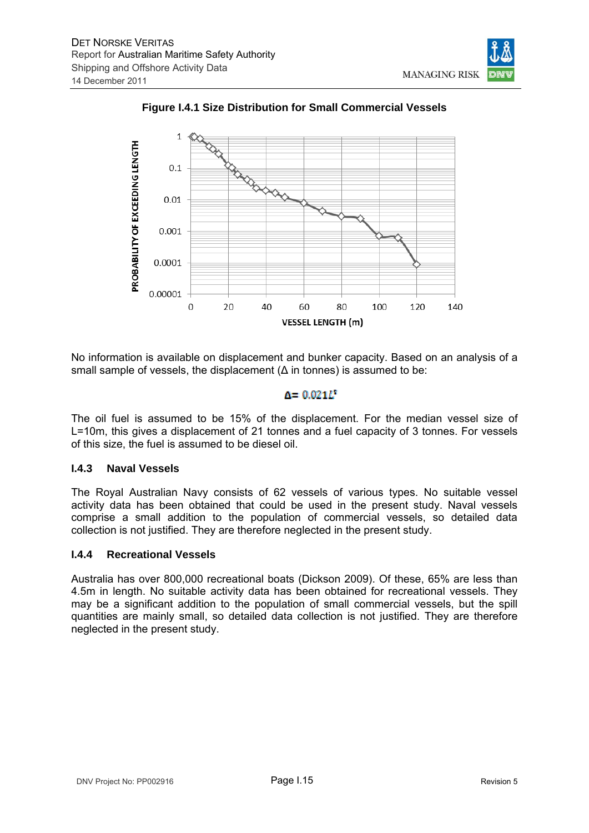



**Figure I.4.1 Size Distribution for Small Commercial Vessels** 

No information is available on displacement and bunker capacity. Based on an analysis of a small sample of vessels, the displacement  $(\Delta$  in tonnes) is assumed to be:

## $A = 0.021L^{*}$

The oil fuel is assumed to be 15% of the displacement. For the median vessel size of L=10m, this gives a displacement of 21 tonnes and a fuel capacity of 3 tonnes. For vessels of this size, the fuel is assumed to be diesel oil.

## **I.4.3 Naval Vessels**

The Royal Australian Navy consists of 62 vessels of various types. No suitable vessel activity data has been obtained that could be used in the present study. Naval vessels comprise a small addition to the population of commercial vessels, so detailed data collection is not justified. They are therefore neglected in the present study.

## **I.4.4 Recreational Vessels**

Australia has over 800,000 recreational boats (Dickson 2009). Of these, 65% are less than 4.5m in length. No suitable activity data has been obtained for recreational vessels. They may be a significant addition to the population of small commercial vessels, but the spill quantities are mainly small, so detailed data collection is not justified. They are therefore neglected in the present study.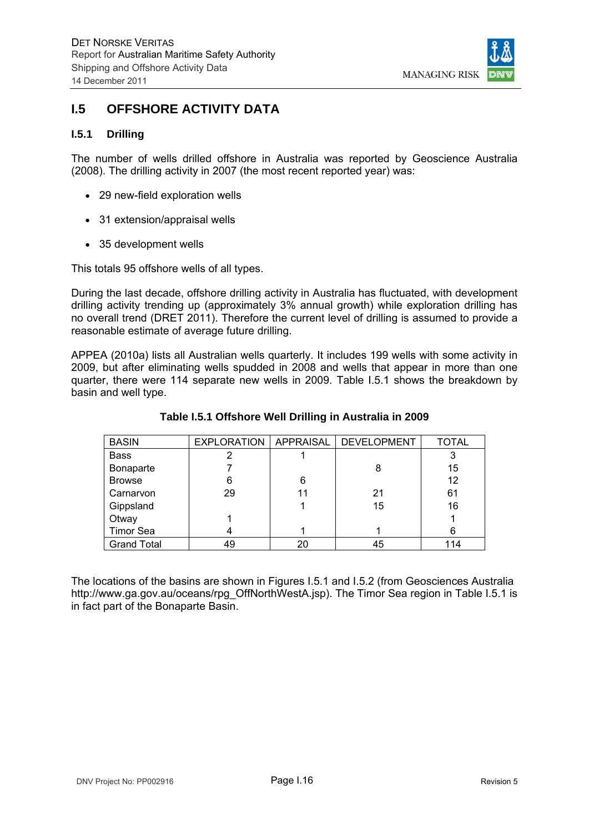

## **I.5 OFFSHORE ACTIVITY DATA**

### **I.5.1 Drilling**

The number of wells drilled offshore in Australia was reported by Geoscience Australia (2008). The drilling activity in 2007 (the most recent reported year) was:

- 29 new-field exploration wells
- 31 extension/appraisal wells
- 35 development wells

This totals 95 offshore wells of all types.

During the last decade, offshore drilling activity in Australia has fluctuated, with development drilling activity trending up (approximately 3% annual growth) while exploration drilling has no overall trend (DRET 2011). Therefore the current level of drilling is assumed to provide a reasonable estimate of average future drilling.

APPEA (2010a) lists all Australian wells quarterly. It includes 199 wells with some activity in 2009, but after eliminating wells spudded in 2008 and wells that appear in more than one quarter, there were 114 separate new wells in 2009. Table I.5.1 shows the breakdown by basin and well type.

| <b>BASIN</b>       |    |    | EXPLORATION   APPRAISAL   DEVELOPMENT | <b>TOTAL</b> |
|--------------------|----|----|---------------------------------------|--------------|
| <b>Bass</b>        |    |    |                                       |              |
| Bonaparte          |    |    |                                       | 15           |
| <b>Browse</b>      | 6  | 6  |                                       | 12           |
| Carnarvon          | 29 | 11 | 21                                    | 61           |
| Gippsland          |    |    | 15                                    | 16           |
| Otway              |    |    |                                       |              |
| <b>Timor Sea</b>   |    |    |                                       | 6            |
| <b>Grand Total</b> | 49 | 20 | 45                                    | 114          |

#### **Table I.5.1 Offshore Well Drilling in Australia in 2009**

The locations of the basins are shown in Figures I.5.1 and I.5.2 (from Geosciences Australia http://www.ga.gov.au/oceans/rpg\_OffNorthWestA.jsp). The Timor Sea region in Table I.5.1 is in fact part of the Bonaparte Basin.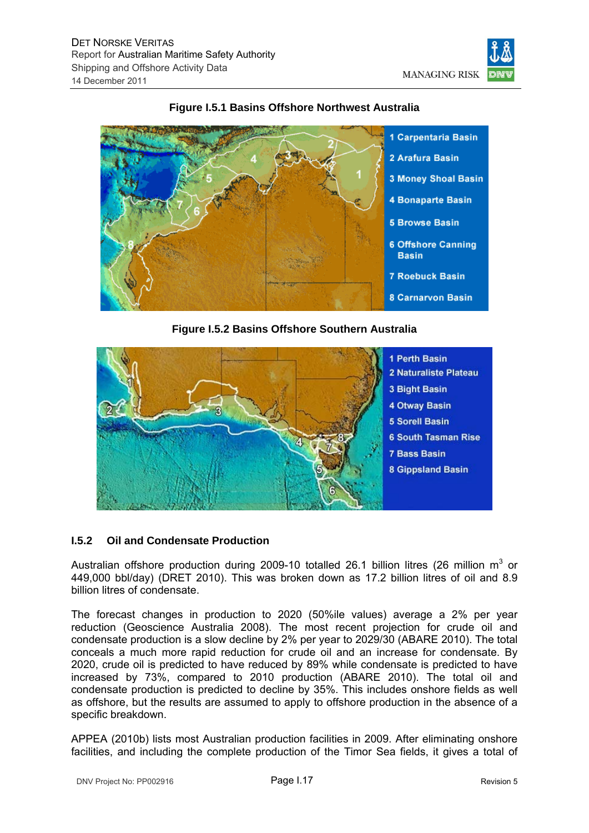



## **Figure I.5.1 Basins Offshore Northwest Australia**

**Figure I.5.2 Basins Offshore Southern Australia** 



## **I.5.2 Oil and Condensate Production**

Australian offshore production during 2009-10 totalled 26.1 billion litres (26 million  $m^3$  or 449,000 bbl/day) (DRET 2010). This was broken down as 17.2 billion litres of oil and 8.9 billion litres of condensate.

The forecast changes in production to 2020 (50%ile values) average a 2% per year reduction (Geoscience Australia 2008). The most recent projection for crude oil and condensate production is a slow decline by 2% per year to 2029/30 (ABARE 2010). The total conceals a much more rapid reduction for crude oil and an increase for condensate. By 2020, crude oil is predicted to have reduced by 89% while condensate is predicted to have increased by 73%, compared to 2010 production (ABARE 2010). The total oil and condensate production is predicted to decline by 35%. This includes onshore fields as well as offshore, but the results are assumed to apply to offshore production in the absence of a specific breakdown.

APPEA (2010b) lists most Australian production facilities in 2009. After eliminating onshore facilities, and including the complete production of the Timor Sea fields, it gives a total of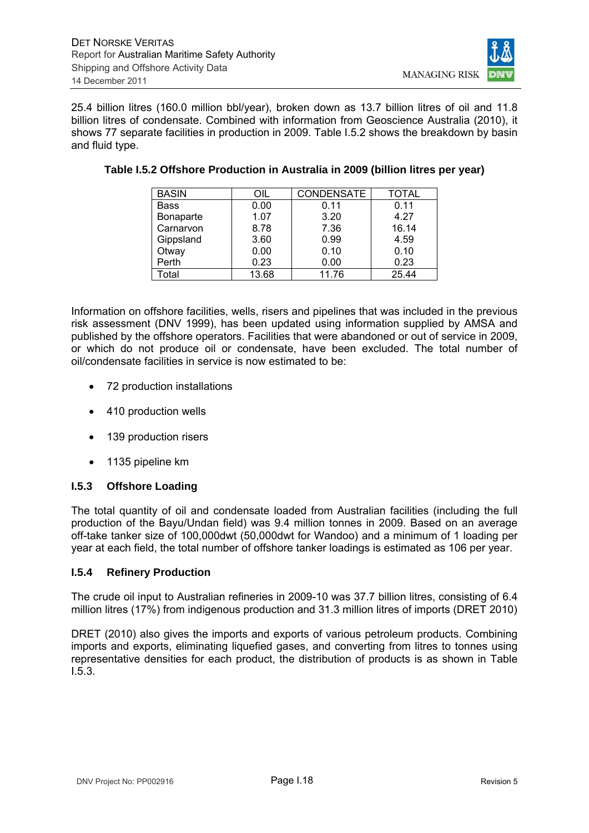

25.4 billion litres (160.0 million bbl/year), broken down as 13.7 billion litres of oil and 11.8 billion litres of condensate. Combined with information from Geoscience Australia (2010), it shows 77 separate facilities in production in 2009. Table I.5.2 shows the breakdown by basin and fluid type.

| <b>BASIN</b> | OIL   | <b>CONDENSATE</b> | <b>TOTAL</b> |
|--------------|-------|-------------------|--------------|
| <b>Bass</b>  | 0.00  | 0.11              | 0.11         |
| Bonaparte    | 1.07  | 3.20              | 4.27         |
| Carnarvon    | 8.78  | 7.36              | 16.14        |
| Gippsland    | 3.60  | 0.99              | 4.59         |
| Otway        | 0.00  | 0.10              | 0.10         |
| Perth        | 0.23  | 0.00              | 0.23         |
| Total        | 13.68 | 11.76             | 25.44        |

#### **Table I.5.2 Offshore Production in Australia in 2009 (billion litres per year)**

Information on offshore facilities, wells, risers and pipelines that was included in the previous risk assessment (DNV 1999), has been updated using information supplied by AMSA and published by the offshore operators. Facilities that were abandoned or out of service in 2009, or which do not produce oil or condensate, have been excluded. The total number of oil/condensate facilities in service is now estimated to be:

- 72 production installations
- 410 production wells
- 139 production risers
- 1135 pipeline km

## **I.5.3 Offshore Loading**

The total quantity of oil and condensate loaded from Australian facilities (including the full production of the Bayu/Undan field) was 9.4 million tonnes in 2009. Based on an average off-take tanker size of 100,000dwt (50,000dwt for Wandoo) and a minimum of 1 loading per year at each field, the total number of offshore tanker loadings is estimated as 106 per year.

#### **I.5.4 Refinery Production**

The crude oil input to Australian refineries in 2009-10 was 37.7 billion litres, consisting of 6.4 million litres (17%) from indigenous production and 31.3 million litres of imports (DRET 2010)

DRET (2010) also gives the imports and exports of various petroleum products. Combining imports and exports, eliminating liquefied gases, and converting from litres to tonnes using representative densities for each product, the distribution of products is as shown in Table I.5.3.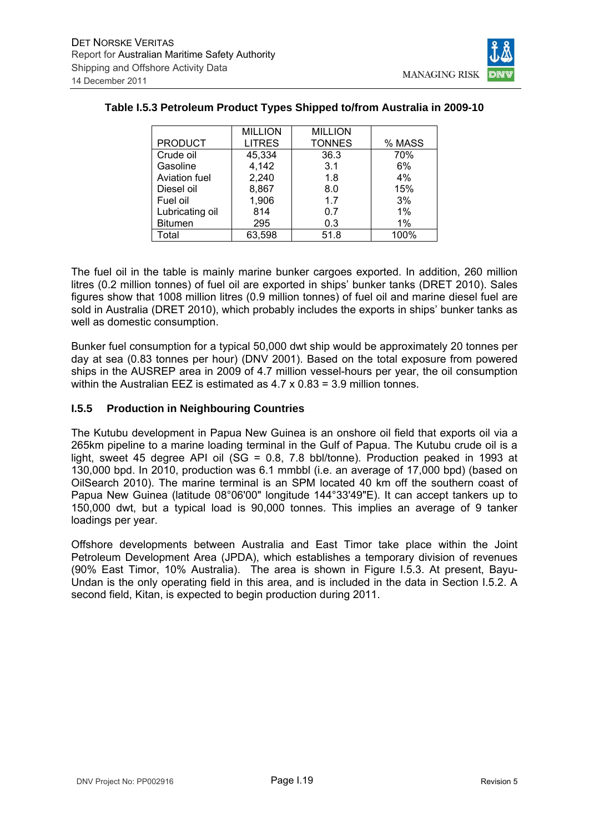

|                      | <b>MILLION</b> | <b>MILLION</b> |        |
|----------------------|----------------|----------------|--------|
| <b>PRODUCT</b>       | <b>LITRES</b>  | <b>TONNES</b>  | % MASS |
| Crude oil            | 45,334         | 36.3           | 70%    |
| Gasoline             | 4,142          | 3.1            | 6%     |
| <b>Aviation fuel</b> | 2,240          | 1.8            | 4%     |
| Diesel oil           | 8,867          | 8.0            | 15%    |
| Fuel oil             | 1,906          | 1.7            | 3%     |
| Lubricating oil      | 814            | 0.7            | 1%     |
| <b>Bitumen</b>       | 295            | 0.3            | 1%     |
| Total                | 63,598         | 51.8           | 100%   |

## **Table I.5.3 Petroleum Product Types Shipped to/from Australia in 2009-10**

The fuel oil in the table is mainly marine bunker cargoes exported. In addition, 260 million litres (0.2 million tonnes) of fuel oil are exported in ships' bunker tanks (DRET 2010). Sales figures show that 1008 million litres (0.9 million tonnes) of fuel oil and marine diesel fuel are sold in Australia (DRET 2010), which probably includes the exports in ships' bunker tanks as well as domestic consumption.

Bunker fuel consumption for a typical 50,000 dwt ship would be approximately 20 tonnes per day at sea (0.83 tonnes per hour) (DNV 2001). Based on the total exposure from powered ships in the AUSREP area in 2009 of 4.7 million vessel-hours per year, the oil consumption within the Australian EEZ is estimated as 4.7 x 0.83 = 3.9 million tonnes.

### **I.5.5 Production in Neighbouring Countries**

The Kutubu development in Papua New Guinea is an onshore oil field that exports oil via a 265km pipeline to a marine loading terminal in the Gulf of Papua. The Kutubu crude oil is a light, sweet 45 degree API oil (SG = 0.8, 7.8 bbl/tonne). Production peaked in 1993 at 130,000 bpd. In 2010, production was 6.1 mmbbl (i.e. an average of 17,000 bpd) (based on OilSearch 2010). The marine terminal is an SPM located 40 km off the southern coast of Papua New Guinea (latitude 08°06'00" longitude 144°33'49"E). It can accept tankers up to 150,000 dwt, but a typical load is 90,000 tonnes. This implies an average of 9 tanker loadings per year.

Offshore developments between Australia and East Timor take place within the Joint Petroleum Development Area (JPDA), which establishes a temporary division of revenues (90% East Timor, 10% Australia). The area is shown in Figure I.5.3. At present, Bayu-Undan is the only operating field in this area, and is included in the data in Section I.5.2. A second field, Kitan, is expected to begin production during 2011.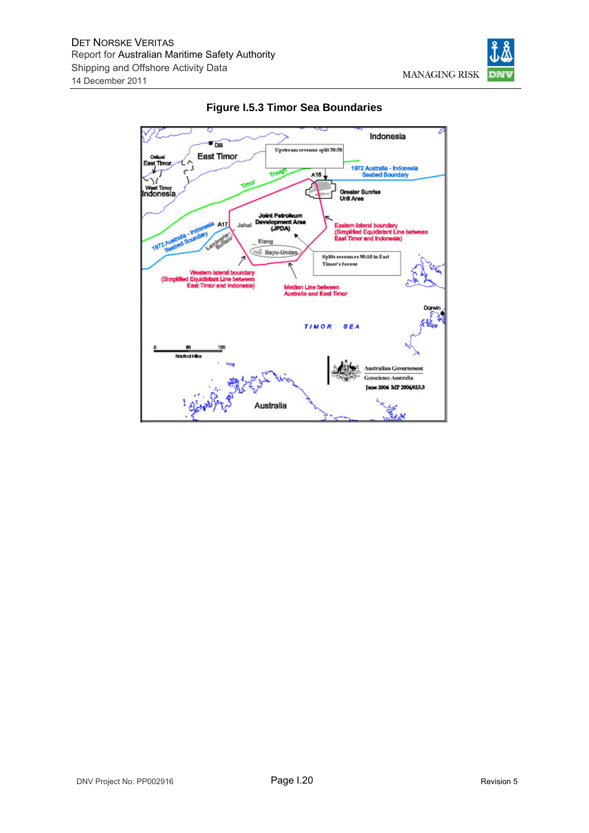



**Figure I.5.3 Timor Sea Boundaries**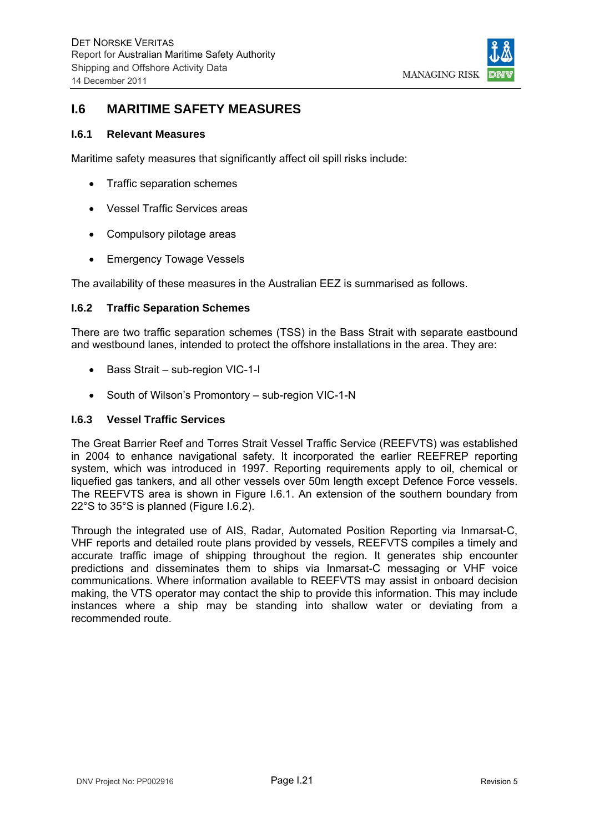

## **I.6 MARITIME SAFETY MEASURES**

#### **I.6.1 Relevant Measures**

Maritime safety measures that significantly affect oil spill risks include:

- Traffic separation schemes
- Vessel Traffic Services areas
- Compulsory pilotage areas
- Emergency Towage Vessels

The availability of these measures in the Australian EEZ is summarised as follows.

#### **I.6.2 Traffic Separation Schemes**

There are two traffic separation schemes (TSS) in the Bass Strait with separate eastbound and westbound lanes, intended to protect the offshore installations in the area. They are:

- Bass Strait sub-region VIC-1-I
- South of Wilson's Promontory sub-region VIC-1-N

#### **I.6.3 Vessel Traffic Services**

The Great Barrier Reef and Torres Strait Vessel Traffic Service (REEFVTS) was established in 2004 to enhance navigational safety. It incorporated the earlier REEFREP reporting system, which was introduced in 1997. Reporting requirements apply to oil, chemical or liquefied gas tankers, and all other vessels over 50m length except Defence Force vessels. The REEFVTS area is shown in Figure I.6.1. An extension of the southern boundary from 22°S to 35°S is planned (Figure I.6.2).

Through the integrated use of AIS, Radar, Automated Position Reporting via Inmarsat-C, VHF reports and detailed route plans provided by vessels, REEFVTS compiles a timely and accurate traffic image of shipping throughout the region. It generates ship encounter predictions and disseminates them to ships via Inmarsat-C messaging or VHF voice communications. Where information available to REEFVTS may assist in onboard decision making, the VTS operator may contact the ship to provide this information. This may include instances where a ship may be standing into shallow water or deviating from a recommended route.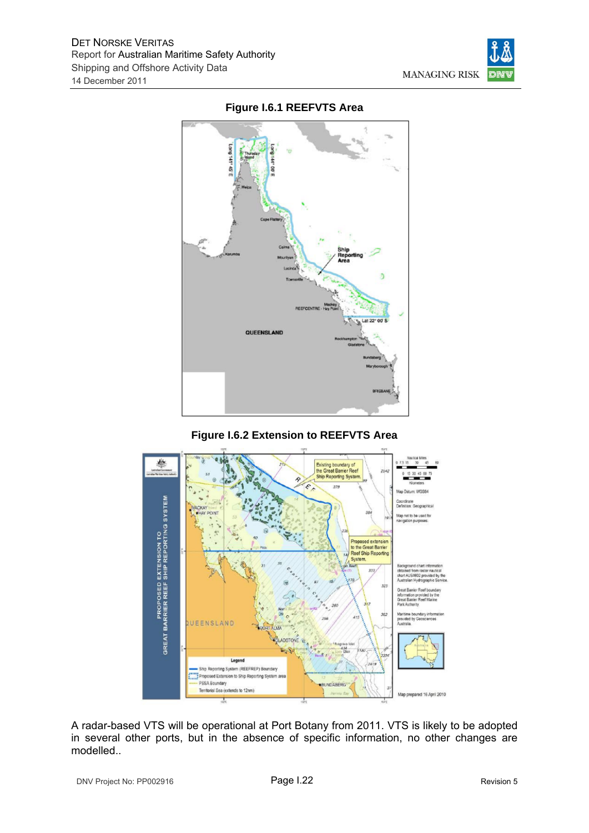

## **Figure I.6.1 REEFVTS Area**

## **Figure I.6.2 Extension to REEFVTS Area**



A radar-based VTS will be operational at Port Botany from 2011. VTS is likely to be adopted in several other ports, but in the absence of specific information, no other changes are modelled..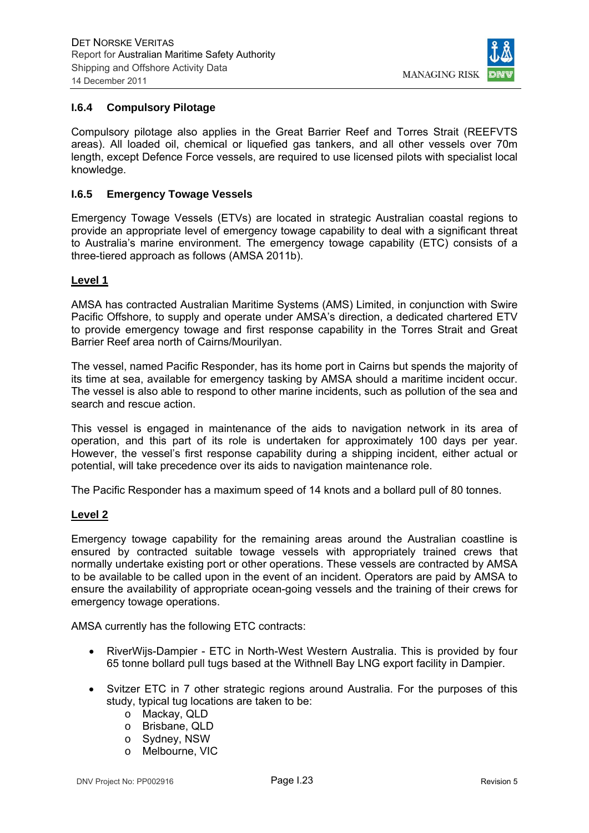

### **I.6.4 Compulsory Pilotage**

Compulsory pilotage also applies in the Great Barrier Reef and Torres Strait (REEFVTS areas). All loaded oil, chemical or liquefied gas tankers, and all other vessels over 70m length, except Defence Force vessels, are required to use licensed pilots with specialist local knowledge.

#### **I.6.5 Emergency Towage Vessels**

Emergency Towage Vessels (ETVs) are located in strategic Australian coastal regions to provide an appropriate level of emergency towage capability to deal with a significant threat to Australia's marine environment. The emergency towage capability (ETC) consists of a three-tiered approach as follows (AMSA 2011b).

#### **Level 1**

AMSA has contracted Australian Maritime Systems (AMS) Limited, in conjunction with Swire Pacific Offshore, to supply and operate under AMSA's direction, a dedicated chartered ETV to provide emergency towage and first response capability in the Torres Strait and Great Barrier Reef area north of Cairns/Mourilyan.

The vessel, named Pacific Responder, has its home port in Cairns but spends the majority of its time at sea, available for emergency tasking by AMSA should a maritime incident occur. The vessel is also able to respond to other marine incidents, such as pollution of the sea and search and rescue action.

This vessel is engaged in maintenance of the aids to navigation network in its area of operation, and this part of its role is undertaken for approximately 100 days per year. However, the vessel's first response capability during a shipping incident, either actual or potential, will take precedence over its aids to navigation maintenance role.

The Pacific Responder has a maximum speed of 14 knots and a bollard pull of 80 tonnes.

#### **Level 2**

Emergency towage capability for the remaining areas around the Australian coastline is ensured by contracted suitable towage vessels with appropriately trained crews that normally undertake existing port or other operations. These vessels are contracted by AMSA to be available to be called upon in the event of an incident. Operators are paid by AMSA to ensure the availability of appropriate ocean-going vessels and the training of their crews for emergency towage operations.

AMSA currently has the following ETC contracts:

- RiverWijs-Dampier ETC in North-West Western Australia. This is provided by four 65 tonne bollard pull tugs based at the Withnell Bay LNG export facility in Dampier.
- Svitzer ETC in 7 other strategic regions around Australia. For the purposes of this study, typical tug locations are taken to be:
	- o Mackay, QLD
	- o Brisbane, QLD
	- o Sydney, NSW
	- o Melbourne, VIC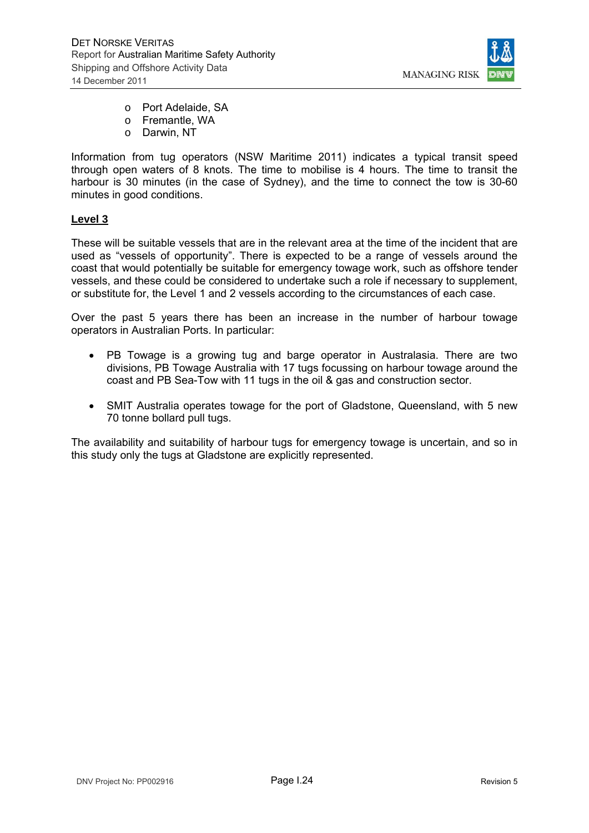

- o Port Adelaide, SA
- o Fremantle, WA
- o Darwin, NT

Information from tug operators (NSW Maritime 2011) indicates a typical transit speed through open waters of 8 knots. The time to mobilise is 4 hours. The time to transit the harbour is 30 minutes (in the case of Sydney), and the time to connect the tow is 30-60 minutes in good conditions.

### **Level 3**

These will be suitable vessels that are in the relevant area at the time of the incident that are used as "vessels of opportunity". There is expected to be a range of vessels around the coast that would potentially be suitable for emergency towage work, such as offshore tender vessels, and these could be considered to undertake such a role if necessary to supplement, or substitute for, the Level 1 and 2 vessels according to the circumstances of each case.

Over the past 5 years there has been an increase in the number of harbour towage operators in Australian Ports. In particular:

- PB Towage is a growing tug and barge operator in Australasia. There are two divisions, PB Towage Australia with 17 tugs focussing on harbour towage around the coast and PB Sea-Tow with 11 tugs in the oil & gas and construction sector.
- SMIT Australia operates towage for the port of Gladstone, Queensland, with 5 new 70 tonne bollard pull tugs.

The availability and suitability of harbour tugs for emergency towage is uncertain, and so in this study only the tugs at Gladstone are explicitly represented.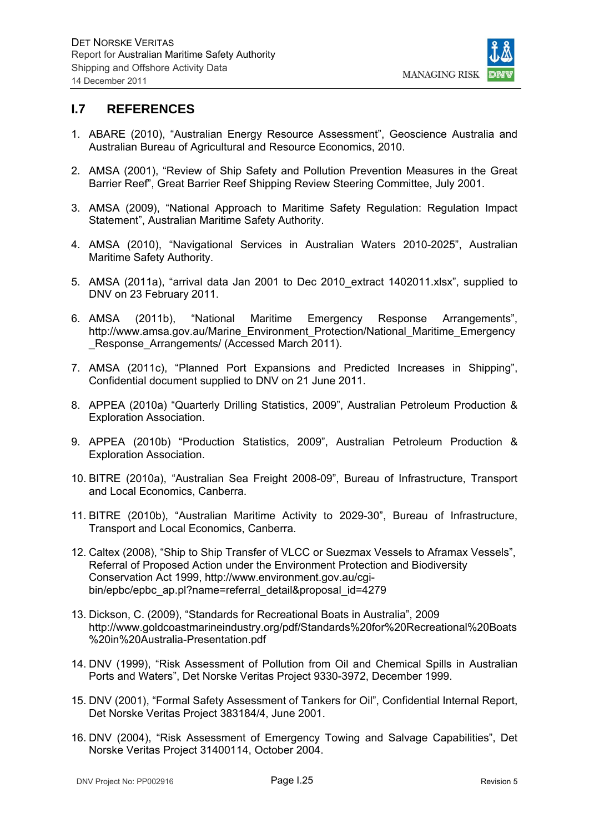

## **I.7 REFERENCES**

- 1. ABARE (2010), "Australian Energy Resource Assessment", Geoscience Australia and Australian Bureau of Agricultural and Resource Economics, 2010.
- 2. AMSA (2001), "Review of Ship Safety and Pollution Prevention Measures in the Great Barrier Reef", Great Barrier Reef Shipping Review Steering Committee, July 2001.
- 3. AMSA (2009), "National Approach to Maritime Safety Regulation: Regulation Impact Statement", Australian Maritime Safety Authority.
- 4. AMSA (2010), "Navigational Services in Australian Waters 2010-2025", Australian Maritime Safety Authority.
- 5. AMSA (2011a), "arrival data Jan 2001 to Dec 2010\_extract 1402011.xlsx", supplied to DNV on 23 February 2011.
- 6. AMSA (2011b), "National Maritime Emergency Response Arrangements", http://www.amsa.gov.au/Marine\_Environment\_Protection/National\_Maritime\_Emergency Response Arrangements/ (Accessed March 2011).
- 7. AMSA (2011c), "Planned Port Expansions and Predicted Increases in Shipping", Confidential document supplied to DNV on 21 June 2011.
- 8. APPEA (2010a) "Quarterly Drilling Statistics, 2009", Australian Petroleum Production & Exploration Association.
- 9. APPEA (2010b) "Production Statistics, 2009", Australian Petroleum Production & Exploration Association.
- 10. BITRE (2010a), "Australian Sea Freight 2008-09", Bureau of Infrastructure, Transport and Local Economics, Canberra.
- 11. BITRE (2010b), "Australian Maritime Activity to 2029-30", Bureau of Infrastructure, Transport and Local Economics, Canberra.
- 12. Caltex (2008), "Ship to Ship Transfer of VLCC or Suezmax Vessels to Aframax Vessels", Referral of Proposed Action under the Environment Protection and Biodiversity Conservation Act 1999, http://www.environment.gov.au/cgibin/epbc/epbc\_ap.pl?name=referral\_detail&proposal\_id=4279
- 13. Dickson, C. (2009), "Standards for Recreational Boats in Australia", 2009 http://www.goldcoastmarineindustry.org/pdf/Standards%20for%20Recreational%20Boats %20in%20Australia-Presentation.pdf
- 14. DNV (1999), "Risk Assessment of Pollution from Oil and Chemical Spills in Australian Ports and Waters", Det Norske Veritas Project 9330-3972, December 1999.
- 15. DNV (2001), "Formal Safety Assessment of Tankers for Oil", Confidential Internal Report, Det Norske Veritas Project 383184/4, June 2001.
- 16. DNV (2004), "Risk Assessment of Emergency Towing and Salvage Capabilities", Det Norske Veritas Project 31400114, October 2004.